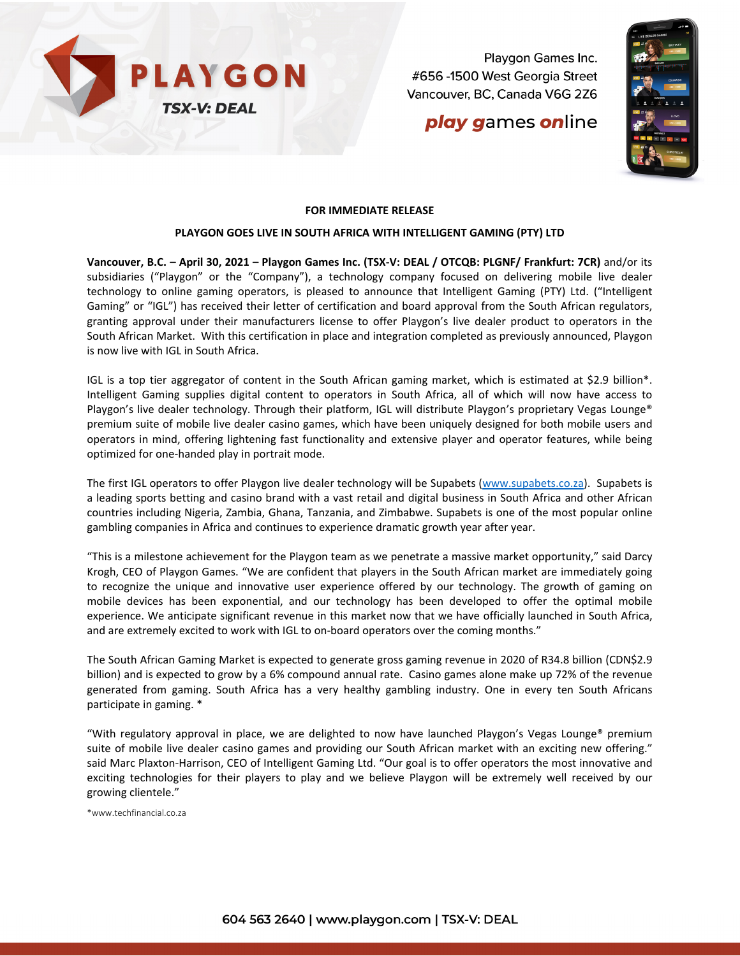

Playgon Games Inc. #656 -1500 West Georgia Street Vancouver, BC, Canada V6G 2Z6

# **play games online**



## **FOR IMMEDIATE RELEASE**

#### **PLAYGON GOES LIVE IN SOUTH AFRICA WITH INTELLIGENT GAMING (PTY) LTD**

**Vancouver, B.C. – April 30, 2021 – Playgon Games Inc. (TSX-V: DEAL / OTCQB: PLGNF/ Frankfurt: 7CR)** and/or its subsidiaries ("Playgon" or the "Company"), a technology company focused on delivering mobile live dealer technology to online gaming operators, is pleased to announce that Intelligent Gaming (PTY) Ltd. ("Intelligent Gaming" or "IGL") has received their letter of certification and board approval from the South African regulators, granting approval under their manufacturers license to offer Playgon's live dealer product to operators in the South African Market. With this certification in place and integration completed as previously announced, Playgon is now live with IGL in South Africa.

IGL is a top tier aggregator of content in the South African gaming market, which is estimated at \$2.9 billion\*. Intelligent Gaming supplies digital content to operators in South Africa, all of which will now have access to Playgon's live dealer technology. Through their platform, IGL will distribute Playgon's proprietary Vegas Lounge® premium suite of mobile live dealer casino games, which have been uniquely designed for both mobile users and operators in mind, offering lightening fast functionality and extensive player and operator features, while being optimized for one-handed play in portrait mode.

The first IGL operators to offer Playgon live dealer technology will be Supabets [\(www.supabets.co.za\)](http://www.supabets.co.za/). Supabets is a leading sports betting and casino brand with a vast retail and digital business in South Africa and other African countries including Nigeria, Zambia, Ghana, Tanzania, and Zimbabwe. Supabets is one of the most popular online gambling companies in Africa and continues to experience dramatic growth year after year.

"This is a milestone achievement for the Playgon team as we penetrate a massive market opportunity," said Darcy Krogh, CEO of Playgon Games. "We are confident that players in the South African market are immediately going to recognize the unique and innovative user experience offered by our technology. The growth of gaming on mobile devices has been exponential, and our technology has been developed to offer the optimal mobile experience. We anticipate significant revenue in this market now that we have officially launched in South Africa, and are extremely excited to work with IGL to on-board operators over the coming months."

The South African Gaming Market is expected to generate gross gaming revenue in 2020 of R34.8 billion (CDN\$2.9 billion) and is expected to grow by a 6% compound annual rate. Casino games alone make up 72% of the revenue generated from gaming. South Africa has a very healthy gambling industry. One in every ten South Africans participate in gaming. \*

"With regulatory approval in place, we are delighted to now have launched Playgon's Vegas Lounge® premium suite of mobile live dealer casino games and providing our South African market with an exciting new offering." said Marc Plaxton-Harrison, CEO of Intelligent Gaming Ltd. "Our goal is to offer operators the most innovative and exciting technologies for their players to play and we believe Playgon will be extremely well received by our growing clientele."

\*www.techfinancial.co.za